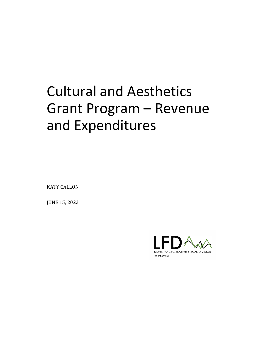# Cultural and Aesthetics Grant Program – Revenue and Expenditures

KATY CALLON

JUNE 15, 2022

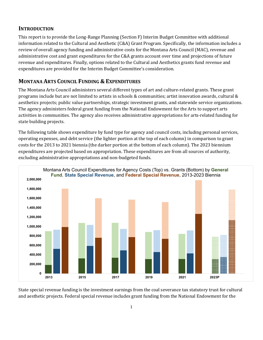#### **INTRODUCTION**

This report is to provide the Long-Range Planning (Section F) Interim Budget Committee with additional information related to the Cultural and Aesthetic (C&A) Grant Program. Specifically, the information includes a review of overall agency funding and administrative costs for the Montana Arts Council (MAC), revenue and administrative cost and grant expenditures for the C&A grants account over time and projections of future revenue and expenditures. Finally, options related to the Cultural and Aesthetics grants fund revenue and expenditures are provided for the Interim Budget Committee's consideration.

## **MONTANA ARTS COUNCIL FUNDING & EXPENDITURES**

The Montana Arts Council administers several different types of art and culture-related grants. These grant programs include but are not limited to artists in schools & communities; artist innovation awards, cultural & aesthetics projects; public value partnerships, strategic investment grants, and statewide service organizations. The agency administers federal grant funding from the National Endowment for the Arts to support arts activities in communities. The agency also receives administrative appropriations for arts-related funding for state building projects.

The following table shows expenditure by fund type for agency and council costs, including personal services, operating expenses, and debt service (the lighter portion at the top of each column) in comparison to grant costs for the 2013 to 2021 biennia (the darker portion at the bottom of each column). The 2023 biennium expenditures are projected based on appropriation. These expenditures are from all sources of authority, excluding administrative appropriations and non-budgeted funds.



State special revenue funding is the investment earnings from the coal severance tax statutory trust for cultural and aesthetic projects. Federal special revenue includes grant funding from the National Endowment for the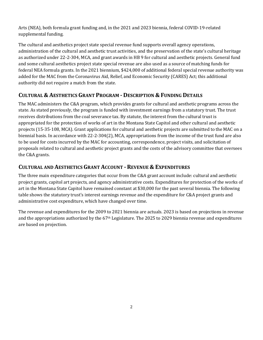Arts (NEA), both formula grant funding and, in the 2021 and 2023 biennia, federal COVID-19-related supplemental funding.

The cultural and aesthetics project state special revenue fund supports overall agency operations, administration of the cultural and aesthetic trust activities, and the preservation of the state's cultural heritage as authorized under 22-2-304, MCA, and grant awards in HB 9 for cultural and aesthetic projects. General fund and some cultural aesthetics project state special revenue are also used as a source of matching funds for federal NEA formula grants. In the 2021 biennium, \$424,000 of additional federal special revenue authority was added for the MAC from the Coronavirus Aid, Relief, and Economic Security (CARES) Act; this additional authority did not require a match from the state.

## **CULTURAL & AESTHETICS GRANT PROGRAM - DESCRIPTION & FUNDING DETAILS**

The MAC administers the C&A program, which provides grants for cultural and aesthetic programs across the state. As stated previously, the program is funded with investment earnings from a statutory trust. The trust receives distributions from the coal severance tax. By statute, the interest from the cultural trust is appropriated for the protection of works of art in the Montana State Capitol and other cultural and aesthetic projects (15-35-108, MCA). Grant applications for cultural and aesthetic projects are submitted to the MAC on a biennial basis. In accordance with 22-2-304(2), MCA, appropriations from the income of the trust fund are also to be used for costs incurred by the MAC for accounting, correspondence, project visits, and solicitation of proposals related to cultural and aesthetic project grants and the costs of the advisory committee that oversees the C&A grants.

## **CULTURAL AND AESTHETICS GRANT ACCOUNT - REVENUE & EXPENDITURES**

The three main expenditure categories that occur from the C&A grant account include: cultural and aesthetic project grants, capitol art projects, and agency administrative costs. Expenditures for protection of the works of art in the Montana State Capitol have remained constant at \$30,000 for the past several biennia. The following table shows the statutory trust's interest earnings revenue and the expenditure for C&A project grants and administrative cost expenditure, which have changed over time.

The revenue and expenditures for the 2009 to 2021 biennia are actuals. 2023 is based on projections in revenue and the appropriations authorized by the 67th Legislature. The 2025 to 2029 biennia revenue and expenditures are based on projection.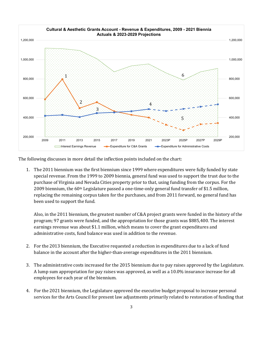

The following discusses in more detail the inflection points included on the chart:

1. The 2011 biennium was the first biennium since 1999 where expenditures were fully funded by state special revenue. From the 1999 to 2009 biennia, general fund was used to support the trust due to the purchase of Virginia and Nevada Cities property prior to that, using funding from the corpus. For the 2009 biennium, the 60th Legislature passed a one-time-only general fund transfer of \$1.5 million, replacing the remaining corpus taken for the purchases, and from 2011 forward, no general fund has been used to support the fund.

Also, in the 2011 biennium, the greatest number of C&A project grants were funded in the history of the program; 97 grants were funded, and the appropriation for those grants was \$885,400. The interest earnings revenue was about \$1.1 million, which means to cover the grant expenditures and administrative costs, fund balance was used in addition to the revenue.

- 2. For the 2013 biennium, the Executive requested a reduction in expenditures due to a lack of fund balance in the account after the higher-than-average expenditures in the 2011 biennium.
- 3. The administrative costs increased for the 2015 biennium due to pay raises approved by the Legislature. A lump sum appropriation for pay raises was approved, as well as a 10.0% insurance increase for all employees for each year of the biennium.
- 4. For the 2021 biennium, the Legislature approved the executive budget proposal to increase personal services for the Arts Council for present law adjustments primarily related to restoration of funding that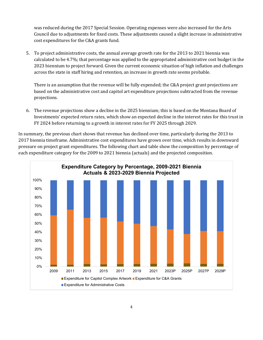was reduced during the 2017 Special Session. Operating expenses were also increased for the Arts Council due to adjustments for fixed costs. These adjustments caused a slight increase in administrative cost expenditures for the C&A grants fund.

5. To project administrative costs, the annual average growth rate for the 2013 to 2021 biennia was calculated to be 4.7%; that percentage was applied to the appropriated administrative cost budget in the 2023 biennium to project forward. Given the current economic situation of high inflation and challenges across the state in staff hiring and retention, an increase in growth rate seems probable.

There is an assumption that the revenue will be fully expended; the C&A project grant projections are based on the administrative cost and capitol art expenditure projections subtracted from the revenue projections.

6. The revenue projections show a decline in the 2025 biennium; this is based on the Montana Board of Investments' expected return rates, which show an expected decline in the interest rates for this trust in FY 2024 before returning to a growth in interest rates for FY 2025 through 2029.

In summary, the previous chart shows that revenue has declined over time, particularly during the 2013 to 2017 biennia timeframe. Administrative cost expenditures have grown over time, which results in downward pressure on project grant expenditures. The following chart and table show the composition by percentage of each expenditure category for the 2009 to 2021 biennia (actuals) and the projected composition.

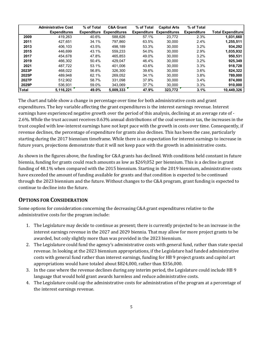|       | <b>Administrative Cost</b> | % of Total         | <b>C&amp;A Grant</b> | % of Total         | <b>Capitol Arts</b> | % of Total         |                   |
|-------|----------------------------|--------------------|----------------------|--------------------|---------------------|--------------------|-------------------|
|       | <b>Expenditures</b>        | <b>Expenditure</b> | <b>Expenditures</b>  | <b>Expenditure</b> | <b>Expenditures</b> | <b>Expenditure</b> | Total Expenditure |
| 2009  | 419.263                    | 40.6%              | 588.626              | 57.1%              | 23.772              | 2.3%               | 1,031,660         |
| 2011  | 427.651                    | 34.1%              | 797.860              | 63.5%              | 30,000              | 2.4%               | 1,255,511         |
| 2013  | 406.103                    | 43.5%              | 498.189              | 53.3%              | 30.000              | 3.2%               | 934,292           |
| 2015  | 446.699                    | 43.1%              | 559.233              | 54.0%              | 30.000              | 2.9%               | 1,035,932         |
| 2017  | 454.678                    | 47.8%              | 465.853              | 49.0%              | 30.000              | 3.2%               | 950,531           |
| 2019  | 466.302                    | 50.4%              | 429.047              | 46.4%              | 30.000              | 3.2%               | 925.349           |
| 2021  | 487.722                    | 53.1%              | 401.006              | 43.6%              | 30.000              | 3.3%               | 918.728           |
| 2023P | 468.022                    | 56.8%              | 326.300              | 39.6%              | 30.000              | 3.6%               | 824,322           |
| 2025P | 489.948                    | 62.1%              | 269.052              | 34.1%              | 30.000              | 3.8%               | 789.000           |
| 2027P | 512.902                    | 58.7%              | 331,098              | 37.9%              | 30.000              | 3.4%               | 874,000           |
| 2029P | 536,931                    | 59.0%              | 343.069              | 37.7%              | 30.000              | 3.3%               | 910,000           |
| Total | 5.116.221                  | 49.0%              | 5.009.333            | 47.9%              | 323,772             | 3.1%               | 10.449.326        |

The chart and table show a change in percentage over time for both administrative costs and grant expenditures. The key variable affecting the grant expenditures is the interest earnings revenue. Interest earnings have experienced negative growth over the period of this analysis, declining at an average rate of - 2.6%. While the trust account receives 0.63% annual distributions of the coal severance tax, the increases in the trust coupled with low-interest earnings have not kept pace with the growth in costs over time. Consequently, if revenue declines, the percentage of expenditure for grants also declines. This has been the case, particularly starting during the 2017 biennium timeframe. While there is an expectation for interest earnings to increase in future years, projections demonstrate that it will not keep pace with the growth in administrative costs.

As shown in the figures above, the funding for C&A grants has declined. With conditions held constant in future biennia, funding for grants could reach amounts as low as \$269,052 per biennium. This is a decline in grant funding of 48.1% when compared with the 2015 biennium. Starting in the 2019 biennium, administrative costs have exceeded the amount of funding available for grants and that condition is expected to be continued through the 2023 biennium and the future. Without changes to the C&A program, grant funding is expected to continue to decline into the future.

#### **OPTIONS FOR CONSIDERATION**

Some options for consideration concerning the decreasing C&A grant expenditures relative to the administrative costs for the program include:

- 1. The Legislature may decide to continue as present; there is currently projected to be an increase in the interest earnings revenue in the 2027 and 2029 biennia. That may allow for more project grants to be awarded, but only slightly more than was provided in the 2023 biennium.
- 2. The Legislature could fund the agency's administrative costs with general fund, rather than state special revenue. In looking at the 2023 biennium appropriations, if the Legislature had funded administrative costs with general fund rather than interest earnings, funding for HB 9 project grants and capitol art appropriations would have totaled about \$824,000, rather than \$356,000.
- 3. In the case where the revenue declines during any interim period, the Legislature could include HB 9 language that would hold grant awards harmless and reduce administrative costs.
- 4. The Legislature could cap the administrative costs for administration of the program at a percentage of the interest earnings revenue.